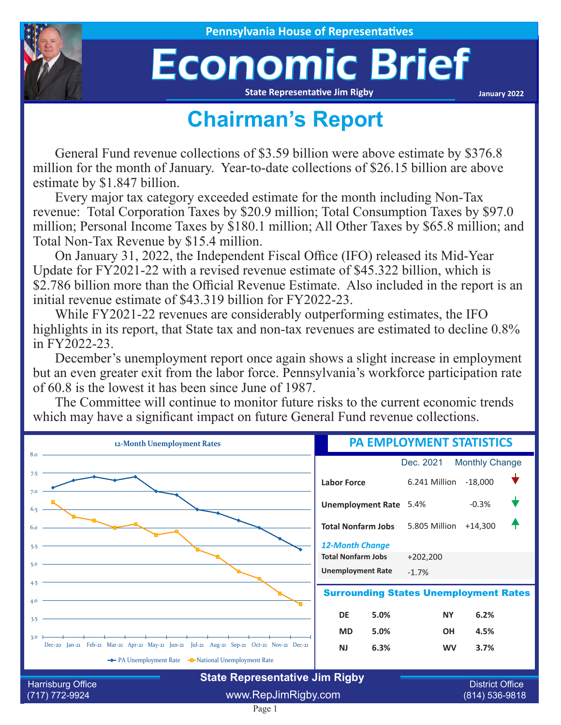

## Economic Brief

**State Representative Jim Rigby**

**January 2022**

## **Chairman's Report**

General Fund revenue collections of \$3.59 billion were above estimate by \$376.8 million for the month of January. Year-to-date collections of \$26.15 billion are above estimate by \$1.847 billion.

Every major tax category exceeded estimate for the month including Non-Tax revenue: Total Corporation Taxes by \$20.9 million; Total Consumption Taxes by \$97.0 million; Personal Income Taxes by \$180.1 million; All Other Taxes by \$65.8 million; and Total Non-Tax Revenue by \$15.4 million.

On January 31, 2022, the Independent Fiscal Office (IFO) released its Mid-Year Update for FY2021-22 with a revised revenue estimate of \$45.322 billion, which is \$2.786 billion more than the Official Revenue Estimate. Also included in the report is an initial revenue estimate of \$43.319 billion for FY2022-23.

While FY2021-22 revenues are considerably outperforming estimates, the IFO highlights in its report, that State tax and non-tax revenues are estimated to decline 0.8% in FY2022-23.

December's unemployment report once again shows a slight increase in employment but an even greater exit from the labor force. Pennsylvania's workforce participation rate of 60.8 is the lowest it has been since June of 1987.

The Committee will continue to monitor future risks to the current economic trends which may have a significant impact on future General Fund revenue collections.



Page 1